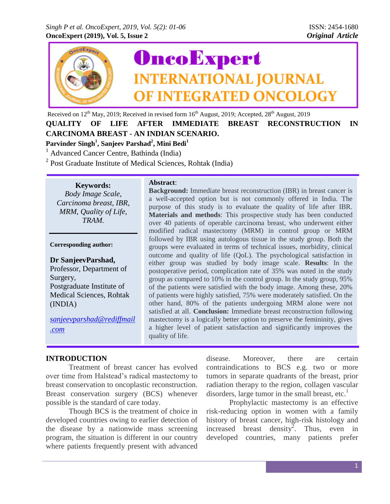

Received on 12<sup>th</sup> May, 2019; Received in revised form 16<sup>th</sup> August, 2019; Accepted, 28<sup>th</sup> August, 2019

**QUALITY OF LIFE AFTER IMMEDIATE BREAST RECONSTRUCTION IN CARCINOMA BREAST - AN INDIAN SCENARIO. Parvinder Singh<sup>1</sup> , Sanjeev Parshad<sup>2</sup> , Mini Bedi<sup>1</sup>**

<sup>1</sup> Advanced Cancer Centre, Bathinda (India)

<sup>2</sup> Post Graduate Institute of Medical Sciences, Rohtak (India)

**Keywords:**

*Body Image Scale, Carcinoma breast, IBR, MRM, Quality of Life, TRAM.*

#### **Corresponding author:**

**Dr SanjeevParshad,** Professor, Department of Surgery, Postgraduate Institute of Medical Sciences, Rohtak (INDIA)

*[sanjeevparshad@rediffmail](mailto:sanjeevparshad@rediffmail.com) [.com](mailto:sanjeevparshad@rediffmail.com)*

## **Abstract**:

**Background:** Immediate breast reconstruction (IBR) in breast cancer is a well-accepted option but is not commonly offered in India. The purpose of this study is to evaluate the quality of life after IBR. **Materials and methods**: This prospective study has been conducted over 40 patients of operable carcinoma breast, who underwent either modified radical mastectomy (MRM) in control group or MRM followed by IBR using autologous tissue in the study group. Both the groups were evaluated in terms of technical issues, morbidity, clinical outcome and quality of life (QoL). The psychological satisfaction in either group was studied by body image scale. **Results**: In the postoperative period, complication rate of 35% was noted in the study group as compared to 10% in the control group. In the study group, 95% of the patients were satisfied with the body image. Among these, 20% of patients were highly satisfied, 75% were moderately satisfied. On the other hand, 80% of the patients undergoing MRM alone were not satisfied at all. **Conclusion:** Immediate breast reconstruction following mastectomy is a logically better option to preserve the femininity, gives a higher level of patient satisfaction and significantly improves the quality of life.

#### **INTRODUCTION**

Treatment of breast cancer has evolved over time from Halstead's radical mastectomy to breast conservation to oncoplastic reconstruction. Breast conservation surgery (BCS) whenever possible is the standard of care today.

Though BCS is the treatment of choice in developed countries owing to earlier detection of the disease by a nationwide mass screening program, the situation is different in our country where patients frequently present with advanced disease. Moreover, there are certain contraindications to BCS e.g. two or more tumors in separate quadrants of the breast, prior radiation therapy to the region, collagen vascular disorders, large tumor in the small breast, etc. $<sup>1</sup>$ </sup>

Prophylactic mastectomy is an effective risk-reducing option in women with a family history of breast cancer, high-risk histology and increased breast density<sup>2</sup>. Thus, even in developed countries, many patients prefer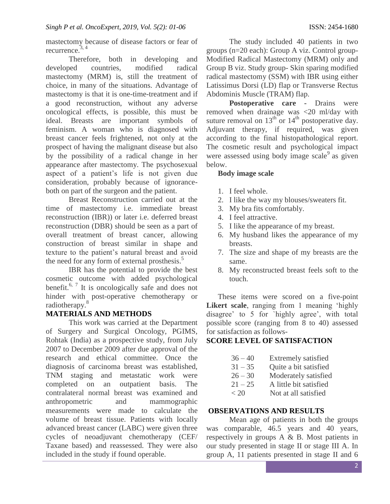mastectomy because of disease factors or fear of recurrence. 3, 4

Therefore, both in developing and developed countries, modified radical mastectomy (MRM) is, still the treatment of choice, in many of the situations. Advantage of mastectomy is that it is one-time-treatment and if a good reconstruction, without any adverse oncological effects, is possible, this must be ideal. Breasts are important symbols of feminism. A woman who is diagnosed with breast cancer feels frightened, not only at the prospect of having the malignant disease but also by the possibility of a radical change in her appearance after mastectomy. The psychosexual aspect of a patient's life is not given due consideration, probably because of ignoranceboth on part of the surgeon and the patient.

Breast Reconstruction carried out at the time of mastectomy i.e. immediate breast reconstruction (IBR)) or later i.e. deferred breast reconstruction (DBR) should be seen as a part of overall treatment of breast cancer, allowing construction of breast similar in shape and texture to the patient's natural breast and avoid the need for any form of external prosthesis.<sup>5</sup>

IBR has the potential to provide the best cosmetic outcome with added psychological benefit.6, 7 It is oncologically safe and does not hinder with post-operative chemotherapy or radiotherapy.<sup>8</sup>

## **MATERIALS AND METHODS**

This work was carried at the Department of Surgery and Surgical Oncology, PGIMS, Rohtak (India) as a prospective study, from July 2007 to December 2009 after due approval of the research and ethical committee. Once the diagnosis of carcinoma breast was established, TNM staging and metastatic work were completed on an outpatient basis. The contralateral normal breast was examined and anthropometric and mammographic measurements were made to calculate the volume of breast tissue. Patients with locally advanced breast cancer (LABC) were given three cycles of neoadjuvant chemotherapy (CEF/ Taxane based) and reassessed. They were also included in the study if found operable.

The study included 40 patients in two groups (n=20 each): Group A viz. Control group-Modified Radical Mastectomy (MRM) only and Group B viz. Study group- Skin sparing modified radical mastectomy (SSM) with IBR using either Latissimus Dorsi (LD) flap or Transverse Rectus Abdominis Muscle (TRAM) flap.

**Postoperative care -** Drains were removed when drainage was <20 ml/day with suture removal on  $13^{th}$  or  $14^{th}$  postoperative day. Adjuvant therapy, if required, was given according to the final histopathological report. The cosmetic result and psychological impact were assessed using body image scale $9$  as given below.

## **Body image scale**

- 1. I feel whole.
- 2. I like the way my blouses/sweaters fit.
- 3. My bra fits comfortably.
- 4. I feel attractive.
- 5. I like the appearance of my breast.
- 6. My husband likes the appearance of my breasts.
- 7. The size and shape of my breasts are the same.
- 8. My reconstructed breast feels soft to the touch.

These items were scored on a five-point **Likert scale**, ranging from 1 meaning 'highly disagree' to 5 for `highly agree', with total possible score (ranging from 8 to 40) assessed for satisfaction as follows-

# **SCORE LEVEL OF SATISFACTION**

| $36 - 40$ | Extremely satisfied    |
|-----------|------------------------|
| $31 - 35$ | Quite a bit satisfied  |
| $26 - 30$ | Moderately satisfied   |
| $21 - 25$ | A little bit satisfied |
| < 20      | Not at all satisfied   |

## **OBSERVATIONS AND RESULTS**

Mean age of patients in both the groups was comparable, 46.5 years and 40 years, respectively in groups A & B. Most patients in our study presented in stage II or stage III A. In group A, 11 patients presented in stage II and 6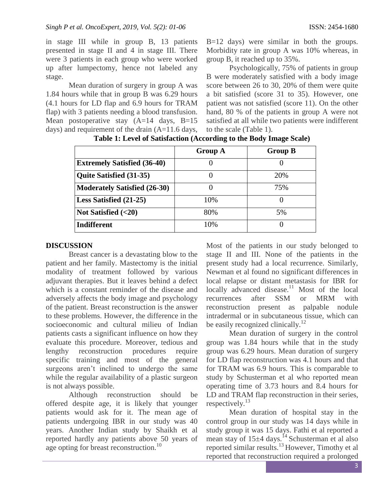in stage III while in group B, 13 patients presented in stage II and 4 in stage III. There were 3 patients in each group who were worked up after lumpectomy, hence not labeled any stage.

Mean duration of surgery in group A was 1.84 hours while that in group B was 6.29 hours (4.1 hours for LD flap and 6.9 hours for TRAM flap) with 3 patients needing a blood transfusion. Mean postoperative stay (A=14 days, B=15 days) and requirement of the drain (A=11.6 days, B=12 days) were similar in both the groups. Morbidity rate in group A was 10% whereas, in group B, it reached up to 35%.

Psychologically, 75% of patients in group B were moderately satisfied with a body image score between 26 to 30, 20% of them were quite a bit satisfied (score 31 to 35). However, one patient was not satisfied (score 11). On the other hand, 80 % of the patients in group A were not satisfied at all while two patients were indifferent to the scale (Table 1).

|                                     | <b>Group A</b> | <b>Group B</b> |
|-------------------------------------|----------------|----------------|
| <b>Extremely Satisfied (36-40)</b>  |                |                |
| <b>Quite Satisfied (31-35)</b>      |                | 20%            |
| <b>Moderately Satisfied (26-30)</b> |                | 75%            |
| Less Satisfied (21-25)              | 10%            |                |
| Not Satisfied $(<20)$               | 80%            | 5%             |
| <b>Indifferent</b>                  | 10%            |                |

**Table 1: Level of Satisfaction (According to the Body Image Scale)**

# **DISCUSSION**

Breast cancer is a devastating blow to the patient and her family. Mastectomy is the initial modality of treatment followed by various adjuvant therapies. But it leaves behind a defect which is a constant reminder of the disease and adversely affects the body image and psychology of the patient. Breast reconstruction is the answer to these problems. However, the difference in the socioeconomic and cultural milieu of Indian patients casts a significant influence on how they evaluate this procedure. Moreover, tedious and lengthy reconstruction procedures require specific training and most of the general surgeons aren't inclined to undergo the same while the regular availability of a plastic surgeon is not always possible.

Although reconstruction should be offered despite age, it is likely that younger patients would ask for it. The mean age of patients undergoing IBR in our study was 40 years. Another Indian study by Shaikh et al reported hardly any patients above 50 years of age opting for breast reconstruction.<sup>10</sup>

Most of the patients in our study belonged to stage II and III. None of the patients in the present study had a local recurrence. Similarly, Newman et al found no significant differences in local relapse or distant metastasis for IBR for locally advanced disease.<sup>11</sup> Most of the local recurrences after SSM or MRM with reconstruction present as palpable nodule intradermal or in subcutaneous tissue, which can be easily recognized clinically.<sup>12</sup>

Mean duration of surgery in the control group was 1.84 hours while that in the study group was 6.29 hours. Mean duration of surgery for LD flap reconstruction was 4.1 hours and that for TRAM was 6.9 hours. This is comparable to study by Schusterman et al who reported mean operating time of 3.73 hours and 8.4 hours for LD and TRAM flap reconstruction in their series, respectively. $^{13}$ 

Mean duration of hospital stay in the control group in our study was 14 days while in study group it was 15 days. Fathi et al reported a mean stay of  $15\pm4$  days.<sup>14</sup> Schusterman et al also reported similar results.<sup>13</sup> However, Timothy et al reported that reconstruction required a prolonged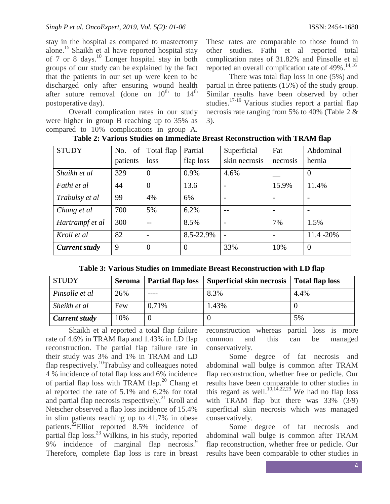stay in the hospital as compared to mastectomy alone.<sup>15</sup> Shaikh et al have reported hospital stay of 7 or 8 days.<sup>10</sup> Longer hospital stay in both groups of our study can be explained by the fact that the patients in our set up were keen to be discharged only after ensuring wound health after suture removal (done on  $10^{th}$  to  $14^{th}$ postoperative day).

Overall complication rates in our study were higher in group B reaching up to 35% as compared to 10% complications in group A.

These rates are comparable to those found in other studies. Fathi et al reported total complication rates of 31.82% and Pinsolle et al reported an overall complication rate of 49%.<sup>14,16</sup>

There was total flap loss in one (5%) and partial in three patients  $(15%)$  of the study group. Similar results have been observed by other studies.17-19 Various studies report a partial flap necrosis rate ranging from 5% to 40% (Table 2 & 3).

| <b>STUDY</b>    | No. of   | Total flap     | Partial        | Superficial   | Fat      | Abdominal      |
|-----------------|----------|----------------|----------------|---------------|----------|----------------|
|                 | patients | loss           | flap loss      | skin necrosis | necrosis | hernia         |
| Shaikh et al    | 329      | $\theta$       | 0.9%           | 4.6%          |          | $\overline{0}$ |
| Fathi et al     | 44       | $\Omega$       | 13.6           |               | 15.9%    | 11.4%          |
| Trabulsy et al  | 99       | 4%             | 6%             |               |          |                |
| Chang et al     | 700      | 5%             | 6.2%           |               |          |                |
| Hartrampf et al | 300      |                | 8.5%           |               | 7%       | 1.5%           |
| Kroll et al     | 82       |                | 8.5-22.9%      |               |          | 11.4 - 20%     |
| Current study   | 9        | $\overline{0}$ | $\overline{0}$ | 33%           | 10%      | $\overline{0}$ |

**Table 2: Various Studies on Immediate Breast Reconstruction with TRAM flap**

| <b>STUDY</b>         | <b>Seroma</b> | <b>Partial flap loss</b> | Superficial skin necrosis | <b>Total flap loss</b> |
|----------------------|---------------|--------------------------|---------------------------|------------------------|
| Pinsolle et al       | 26%           |                          | 8.3%                      | 4.4%                   |
| Sheikh et al         | Few           | 0.71%                    | 1.43%                     |                        |
| <b>Current study</b> | 10%           |                          |                           | 5%                     |

Shaikh et al reported a total flap failure rate of 4.6% in TRAM flap and 1.43% in LD flap reconstruction. The partial flap failure rate in their study was 3% and 1% in TRAM and LD flap respectively.<sup>10</sup>Trabulsy and colleagues noted 4 % incidence of total flap loss and 6% incidence of partial flap loss with TRAM flap.<sup>20</sup> Chang et al reported the rate of 5.1% and 6.2% for total and partial flap necrosis respectively.<sup>21</sup> Kroll and Netscher observed a flap loss incidence of 15.4% in slim patients reaching up to 41.7% in obese patients.<sup>22</sup>Elliot reported 8.5% incidence of partial flap  $loss.<sup>23</sup>$  Wilkins, in his study, reported 9% incidence of marginal flap necrosis.<sup>9</sup> Therefore, complete flap loss is rare in breast reconstruction whereas partial loss is more common and this can be managed conservatively.

Some degree of fat necrosis and abdominal wall bulge is common after TRAM flap reconstruction, whether free or pedicle. Our results have been comparable to other studies in this regard as well.<sup>10,14,22,23</sup> We had no flap loss with TRAM flap but there was  $33\%$  (3/9) superficial skin necrosis which was managed conservatively.

Some degree of fat necrosis and abdominal wall bulge is common after TRAM flap reconstruction, whether free or pedicle. Our results have been comparable to other studies in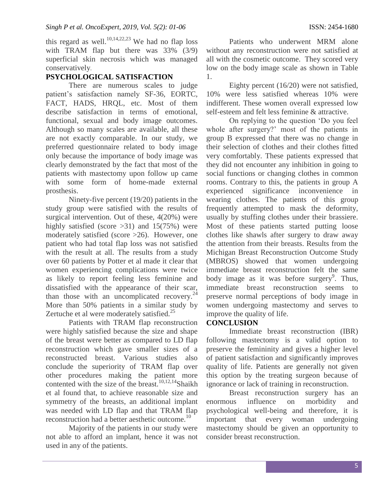this regard as well.<sup>10,14,22,23</sup> We had no flap loss with TRAM flap but there was 33% (3/9) superficial skin necrosis which was managed conservatively.

# **PSYCHOLOGICAL SATISFACTION**

There are numerous scales to judge patient's satisfaction namely SF-36, EORTC, FACT, HADS, HRQL, etc. Most of them describe satisfaction in terms of emotional, functional, sexual and body image outcomes. Although so many scales are available, all these are not exactly comparable. In our study, we preferred questionnaire related to body image only because the importance of body image was clearly demonstrated by the fact that most of the patients with mastectomy upon follow up came with some form of home-made external prosthesis.

Ninety-five percent (19/20) patients in the study group were satisfied with the results of surgical intervention. Out of these, 4(20%) were highly satisfied (score  $>31$ ) and 15(75%) were moderately satisfied (score >26). However, one patient who had total flap loss was not satisfied with the result at all. The results from a study over 60 patients by Potter et al made it clear that women experiencing complications were twice as likely to report feeling less feminine and dissatisfied with the appearance of their scar, than those with an uncomplicated recovery. $^{24}$ More than 50% patients in a similar study by Zertuche et al were moderately satisfied.<sup>25</sup>

Patients with TRAM flap reconstruction were highly satisfied because the size and shape of the breast were better as compared to LD flap reconstruction which gave smaller sizes of a reconstructed breast. Various studies also conclude the superiority of TRAM flap over other procedures making the patient more contented with the size of the breast.<sup>10,12,14</sup>Shaikh et al found that, to achieve reasonable size and symmetry of the breasts, an additional implant was needed with LD flap and that TRAM flap reconstruction had a better aesthetic outcome.<sup>10</sup>

Majority of the patients in our study were not able to afford an implant, hence it was not used in any of the patients.

Patients who underwent MRM alone without any reconstruction were not satisfied at all with the cosmetic outcome. They scored very low on the body image scale as shown in Table 1.

Eighty percent (16/20) were not satisfied, 10% were less satisfied whereas 10% were indifferent. These women overall expressed low self-esteem and felt less feminine & attractive.

On replying to the question 'Do you feel whole after surgery?' most of the patients in group B expressed that there was no change in their selection of clothes and their clothes fitted very comfortably. These patients expressed that they did not encounter any inhibition in going to social functions or changing clothes in common rooms. Contrary to this, the patients in group A experienced significance inconvenience in wearing clothes. The patients of this group frequently attempted to mask the deformity, usually by stuffing clothes under their brassiere. Most of these patients started putting loose clothes like shawls after surgery to draw away the attention from their breasts. Results from the Michigan Breast Reconstruction Outcome Study (MBROS) showed that women undergoing immediate breast reconstruction felt the same body image as it was before surgery<sup>9</sup>. Thus, immediate breast reconstruction seems to preserve normal perceptions of body image in women undergoing mastectomy and serves to improve the quality of life.

## **CONCLUSION**

Immediate breast reconstruction (IBR) following mastectomy is a valid option to preserve the femininity and gives a higher level of patient satisfaction and significantly improves quality of life. Patients are generally not given this option by the treating surgeon because of ignorance or lack of training in reconstruction.

Breast reconstruction surgery has an enormous influence on morbidity and psychological well-being and therefore, it is important that every woman undergoing mastectomy should be given an opportunity to consider breast reconstruction.